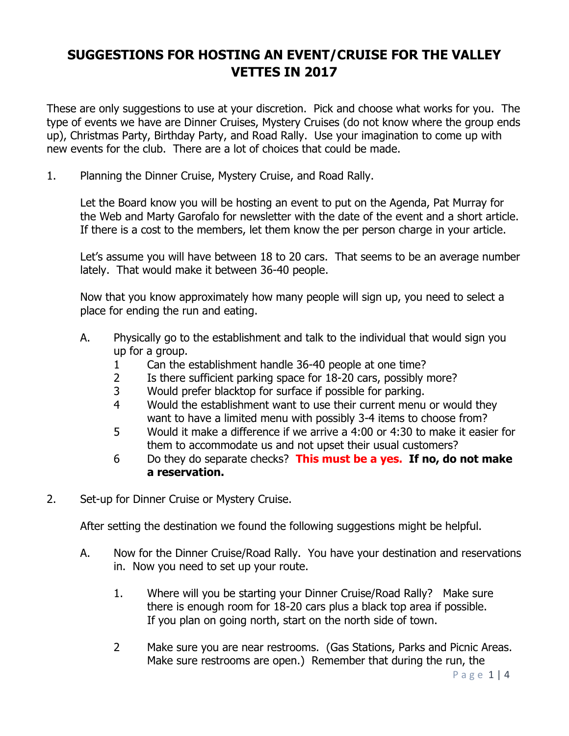## **SUGGESTIONS FOR HOSTING AN EVENT/CRUISE FOR THE VALLEY VETTES IN 2017**

These are only suggestions to use at your discretion. Pick and choose what works for you. The type of events we have are Dinner Cruises, Mystery Cruises (do not know where the group ends up), Christmas Party, Birthday Party, and Road Rally. Use your imagination to come up with new events for the club. There are a lot of choices that could be made.

1. Planning the Dinner Cruise, Mystery Cruise, and Road Rally.

Let the Board know you will be hosting an event to put on the Agenda, Pat Murray for the Web and Marty Garofalo for newsletter with the date of the event and a short article. If there is a cost to the members, let them know the per person charge in your article.

Let's assume you will have between 18 to 20 cars. That seems to be an average number lately. That would make it between 36-40 people.

Now that you know approximately how many people will sign up, you need to select a place for ending the run and eating.

- A. Physically go to the establishment and talk to the individual that would sign you up for a group.
	- 1 Can the establishment handle 36-40 people at one time?
	- 2 Is there sufficient parking space for 18-20 cars, possibly more?
	- 3 Would prefer blacktop for surface if possible for parking.
	- 4 Would the establishment want to use their current menu or would they want to have a limited menu with possibly 3-4 items to choose from?
	- 5 Would it make a difference if we arrive a 4:00 or 4:30 to make it easier for them to accommodate us and not upset their usual customers?
	- 6 Do they do separate checks? **This must be a yes. If no, do not make a reservation.**
- 2. Set-up for Dinner Cruise or Mystery Cruise.

After setting the destination we found the following suggestions might be helpful.

- A. Now for the Dinner Cruise/Road Rally. You have your destination and reservations in. Now you need to set up your route.
	- 1. Where will you be starting your Dinner Cruise/Road Rally? Make sure there is enough room for 18-20 cars plus a black top area if possible. If you plan on going north, start on the north side of town.
	- 2 Make sure you are near restrooms. (Gas Stations, Parks and Picnic Areas. Make sure restrooms are open.) Remember that during the run, the

P a g e 1 | 4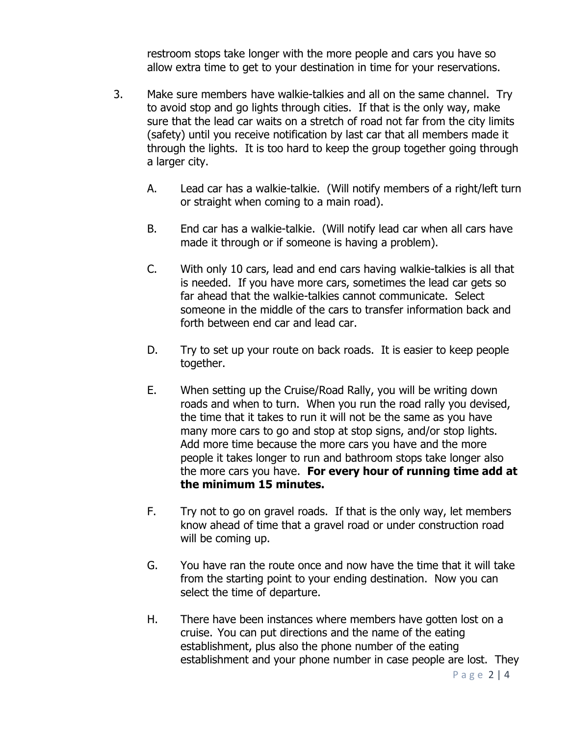restroom stops take longer with the more people and cars you have so allow extra time to get to your destination in time for your reservations.

- 3. Make sure members have walkie-talkies and all on the same channel. Try to avoid stop and go lights through cities. If that is the only way, make sure that the lead car waits on a stretch of road not far from the city limits (safety) until you receive notification by last car that all members made it through the lights. It is too hard to keep the group together going through a larger city.
	- A. Lead car has a walkie-talkie. (Will notify members of a right/left turn or straight when coming to a main road).
	- B. End car has a walkie-talkie. (Will notify lead car when all cars have made it through or if someone is having a problem).
	- C. With only 10 cars, lead and end cars having walkie-talkies is all that is needed. If you have more cars, sometimes the lead car gets so far ahead that the walkie-talkies cannot communicate. Select someone in the middle of the cars to transfer information back and forth between end car and lead car.
	- D. Try to set up your route on back roads. It is easier to keep people together.
	- E. When setting up the Cruise/Road Rally, you will be writing down roads and when to turn. When you run the road rally you devised, the time that it takes to run it will not be the same as you have many more cars to go and stop at stop signs, and/or stop lights. Add more time because the more cars you have and the more people it takes longer to run and bathroom stops take longer also the more cars you have. **For every hour of running time add at the minimum 15 minutes.**
	- F. Try not to go on gravel roads. If that is the only way, let members know ahead of time that a gravel road or under construction road will be coming up.
	- G. You have ran the route once and now have the time that it will take from the starting point to your ending destination. Now you can select the time of departure.
	- H. There have been instances where members have gotten lost on a cruise. You can put directions and the name of the eating establishment, plus also the phone number of the eating establishment and your phone number in case people are lost. They

P a g e 2 | 4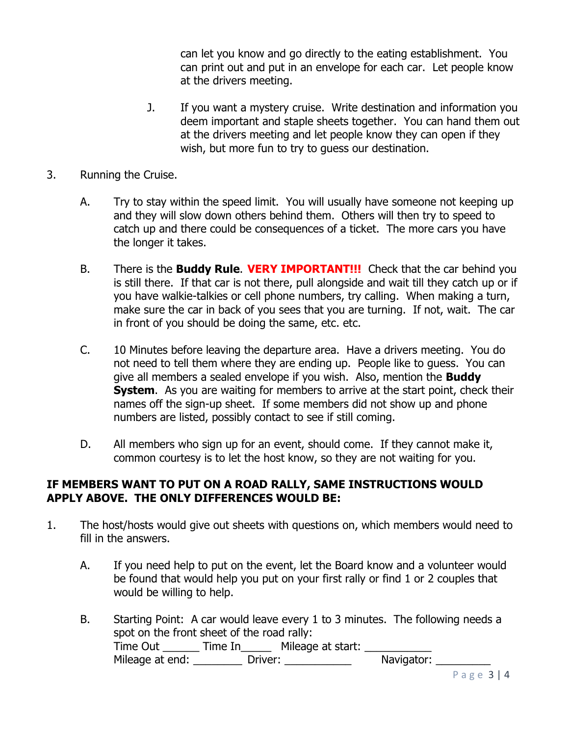can let you know and go directly to the eating establishment. You can print out and put in an envelope for each car. Let people know at the drivers meeting.

- J. If you want a mystery cruise. Write destination and information you deem important and staple sheets together. You can hand them out at the drivers meeting and let people know they can open if they wish, but more fun to try to guess our destination.
- 3. Running the Cruise.
	- A. Try to stay within the speed limit. You will usually have someone not keeping up and they will slow down others behind them. Others will then try to speed to catch up and there could be consequences of a ticket. The more cars you have the longer it takes.
	- B. There is the **Buddy Rule**. **VERY IMPORTANT!!!** Check that the car behind you is still there. If that car is not there, pull alongside and wait till they catch up or if you have walkie-talkies or cell phone numbers, try calling. When making a turn, make sure the car in back of you sees that you are turning. If not, wait. The car in front of you should be doing the same, etc. etc.
	- C. 10 Minutes before leaving the departure area. Have a drivers meeting. You do not need to tell them where they are ending up. People like to guess. You can give all members a sealed envelope if you wish. Also, mention the **Buddy System.** As you are waiting for members to arrive at the start point, check their names off the sign-up sheet. If some members did not show up and phone numbers are listed, possibly contact to see if still coming.
	- D. All members who sign up for an event, should come. If they cannot make it, common courtesy is to let the host know, so they are not waiting for you.

## **IF MEMBERS WANT TO PUT ON A ROAD RALLY, SAME INSTRUCTIONS WOULD APPLY ABOVE. THE ONLY DIFFERENCES WOULD BE:**

- 1. The host/hosts would give out sheets with questions on, which members would need to fill in the answers.
	- A. If you need help to put on the event, let the Board know and a volunteer would be found that would help you put on your first rally or find 1 or 2 couples that would be willing to help.
	- B. Starting Point: A car would leave every 1 to 3 minutes. The following needs a spot on the front sheet of the road rally: Time Out \_\_\_\_\_\_\_\_ Time In\_\_\_\_\_\_\_ Mileage at start: \_\_\_\_\_\_\_\_\_\_\_\_\_\_\_<br>Mileage at end: \_\_\_\_\_\_\_\_\_\_\_ Driver: \_\_\_\_\_\_\_\_\_\_\_\_\_\_\_\_\_\_\_\_ Navigator: \_\_\_\_\_\_\_\_\_\_\_\_ Mileage at end: \_\_\_\_\_\_\_\_\_ Driver: \_\_\_\_\_\_\_

P a g e 3 | 4